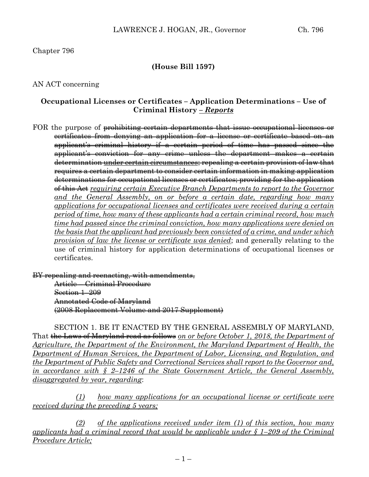# Chapter 796

# **(House Bill 1597)**

## AN ACT concerning

## **Occupational Licenses or Certificates – Application Determinations – Use of Criminal History** *– Reports*

FOR the purpose of <del>prohibiting certain departments that issue occupational licenses or</del> certificates from denying an application for a license or certificate based on an applicant's criminal history if a certain period of time has passed since the applicant's conviction for any crime unless the department makes a certain determination under certain circumstances; repealing a certain provision of law that requires a certain department to consider certain information in making application determinations for occupational licenses or certificates; providing for the application of this Act *requiring certain Executive Branch Departments to report to the Governor and the General Assembly, on or before a certain date, regarding how many applications for occupational licenses and certificates were received during a certain period of time, how many of these applicants had a certain criminal record, how much time had passed since the criminal conviction, how many applications were denied on the basis that the applicant had previously been convicted of a crime, and under which provision of law the license or certificate was denied*; and generally relating to the use of criminal history for application determinations of occupational licenses or certificates.

BY repealing and reenacting, with amendments,

Article – Criminal Procedure Section 1–209 Annotated Code of Maryland (2008 Replacement Volume and 2017 Supplement)

SECTION 1. BE IT ENACTED BY THE GENERAL ASSEMBLY OF MARYLAND, That the Laws of Maryland read as follows *on or before October 1, 2018, the Department of Agriculture, the Department of the Environment, the Maryland Department of Health, the Department of Human Services, the Department of Labor, Licensing, and Regulation, and the Department of Public Safety and Correctional Services shall report to the Governor and, in accordance with § 2–1246 of the State Government Article, the General Assembly, disaggregated by year, regarding*:

*(1) how many applications for an occupational license or certificate were received during the preceding 5 years;*

*(2) of the applications received under item (1) of this section, how many applicants had a criminal record that would be applicable under § 1–209 of the Criminal Procedure Article;*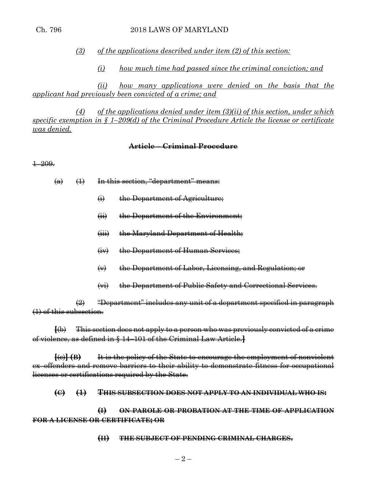*(3) of the applications described under item (2) of this section:*

*(i) how much time had passed since the criminal conviction; and*

*(ii) how many applications were denied on the basis that the applicant had previously been convicted of a crime; and*

*(4) of the applications denied under item (3)(ii) of this section, under which specific exemption in § 1–209(d) of the Criminal Procedure Article the license or certificate was denied.*

#### **Article – Criminal Procedure**

1–209.

 $(a)$   $(1)$  In this section, "department" means:

- (i) the Department of Agriculture;
- (ii) the Department of the Environment;
- (iii) the Maryland Department of Health;
- (iv) the Department of Human Services;
- (v) the Department of Labor, Licensing, and Regulation; or
- (vi) the Department of Public Safety and Correctional Services.

 $\left( 2\right)$  "Department" includes any unit of a department specified in paragraph (1) of this subsection.

**[**(b) This section does not apply to a person who was previously convicted of a crime of violence, as defined in § 14–101 of the Criminal Law Article.**]**

**[**(c)**] (B)** It is the policy of the State to encourage the employment of nonviolent ex–offenders and remove barriers to their ability to demonstrate fitness for occupational licenses or certifications required by the State.

**(C) (1) THIS SUBSECTION DOES NOT APPLY TO AN INDIVIDUAL WHO IS:**

**(I) ON PAROLE OR PROBATION AT THE TIME OF APPLICATION FOR A LICENSE OR CERTIFICATE; OR**

#### **(II) THE SUBJECT OF PENDING CRIMINAL CHARGES.**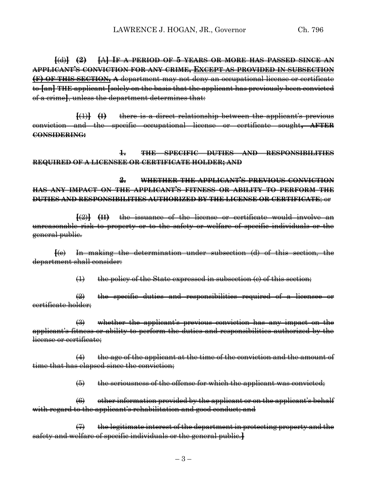**[**(d)**] (2) [**A**] IF A PERIOD OF 5 YEARS OR MORE HAS PASSED SINCE AN APPLICANT'S CONVICTION FOR ANY CRIME, EXCEPT AS PROVIDED IN SUBSECTION (F) OF THIS SECTION, A** department may not deny an occupational license or certificate to **[**an**] THE** applicant **[**solely on the basis that the applicant has previously been convicted of a crime**]**, unless the department determines that:

**[**(1)**] (I)** there is a direct relationship between the applicant's previous conviction and the specific occupational license or certificate sought**, AFTER CONSIDERING:**

**1. THE SPECIFIC DUTIES AND RESPONSIBILITIES REQUIRED OF A LICENSEE OR CERTIFICATE HOLDER; AND**

**2. WHETHER THE APPLICANT'S PREVIOUS CONVICTION HAS ANY IMPACT ON THE APPLICANT'S FITNESS OR ABILITY TO PERFORM THE DUTIES AND RESPONSIBILITIES AUTHORIZED BY THE LICENSE OR CERTIFICATE**; or

**[**(2)**] (II)** the issuance of the license or certificate would involve an unreasonable risk to property or to the safety or welfare of specific individuals or the general public.

**[**(e) In making the determination under subsection (d) of this section, the department shall consider:

 $(1)$  the policy of the State expressed in subsection (c) of this section;

 $\left( 2 \right)$  the specific duties and responsibilities required of a licensee or certificate holder;

(3) whether the applicant's previous conviction has any impact on the applicant's fitness or ability to perform the duties and responsibilities authorized by the license or certificate;

 $(4)$  the age of the applicant at the time of the conviction and the amount of time that has elapsed since the conviction;

 $(5)$  the seriousness of the offense for which the applicant was convicted;

 $(6)$  other information provided by the applicant or on the applicant's behalf with regard to the applicant's rehabilitation and good conduct; and

 $(7)$  the legitimate interest of the department in protecting property and the safety and welfare of specific individuals or the general public.**]**